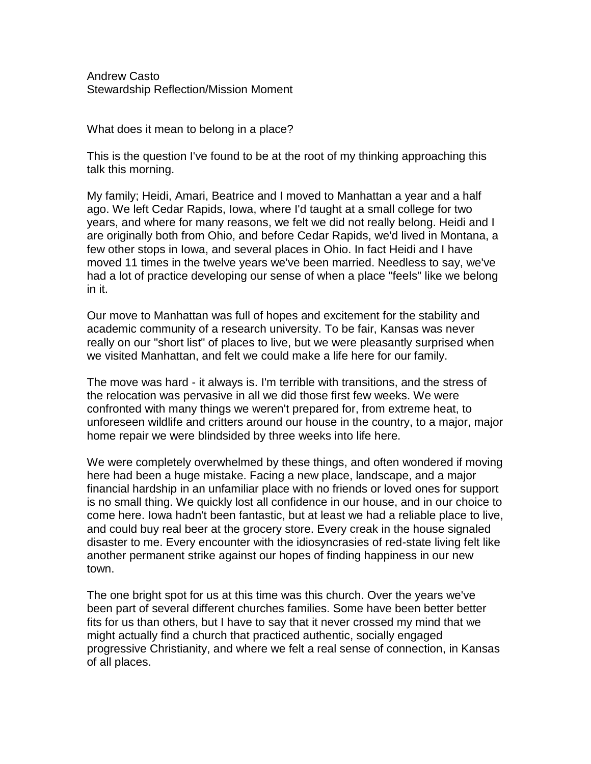Andrew Casto Stewardship Reflection/Mission Moment

What does it mean to belong in a place?

This is the question I've found to be at the root of my thinking approaching this talk this morning.

My family; Heidi, Amari, Beatrice and I moved to Manhattan a year and a half ago. We left Cedar Rapids, Iowa, where I'd taught at a small college for two years, and where for many reasons, we felt we did not really belong. Heidi and I are originally both from Ohio, and before Cedar Rapids, we'd lived in Montana, a few other stops in Iowa, and several places in Ohio. In fact Heidi and I have moved 11 times in the twelve years we've been married. Needless to say, we've had a lot of practice developing our sense of when a place "feels" like we belong in it.

Our move to Manhattan was full of hopes and excitement for the stability and academic community of a research university. To be fair, Kansas was never really on our "short list" of places to live, but we were pleasantly surprised when we visited Manhattan, and felt we could make a life here for our family.

The move was hard - it always is. I'm terrible with transitions, and the stress of the relocation was pervasive in all we did those first few weeks. We were confronted with many things we weren't prepared for, from extreme heat, to unforeseen wildlife and critters around our house in the country, to a major, major home repair we were blindsided by three weeks into life here.

We were completely overwhelmed by these things, and often wondered if moving here had been a huge mistake. Facing a new place, landscape, and a major financial hardship in an unfamiliar place with no friends or loved ones for support is no small thing. We quickly lost all confidence in our house, and in our choice to come here. Iowa hadn't been fantastic, but at least we had a reliable place to live, and could buy real beer at the grocery store. Every creak in the house signaled disaster to me. Every encounter with the idiosyncrasies of red-state living felt like another permanent strike against our hopes of finding happiness in our new town.

The one bright spot for us at this time was this church. Over the years we've been part of several different churches families. Some have been better better fits for us than others, but I have to say that it never crossed my mind that we might actually find a church that practiced authentic, socially engaged progressive Christianity, and where we felt a real sense of connection, in Kansas of all places.